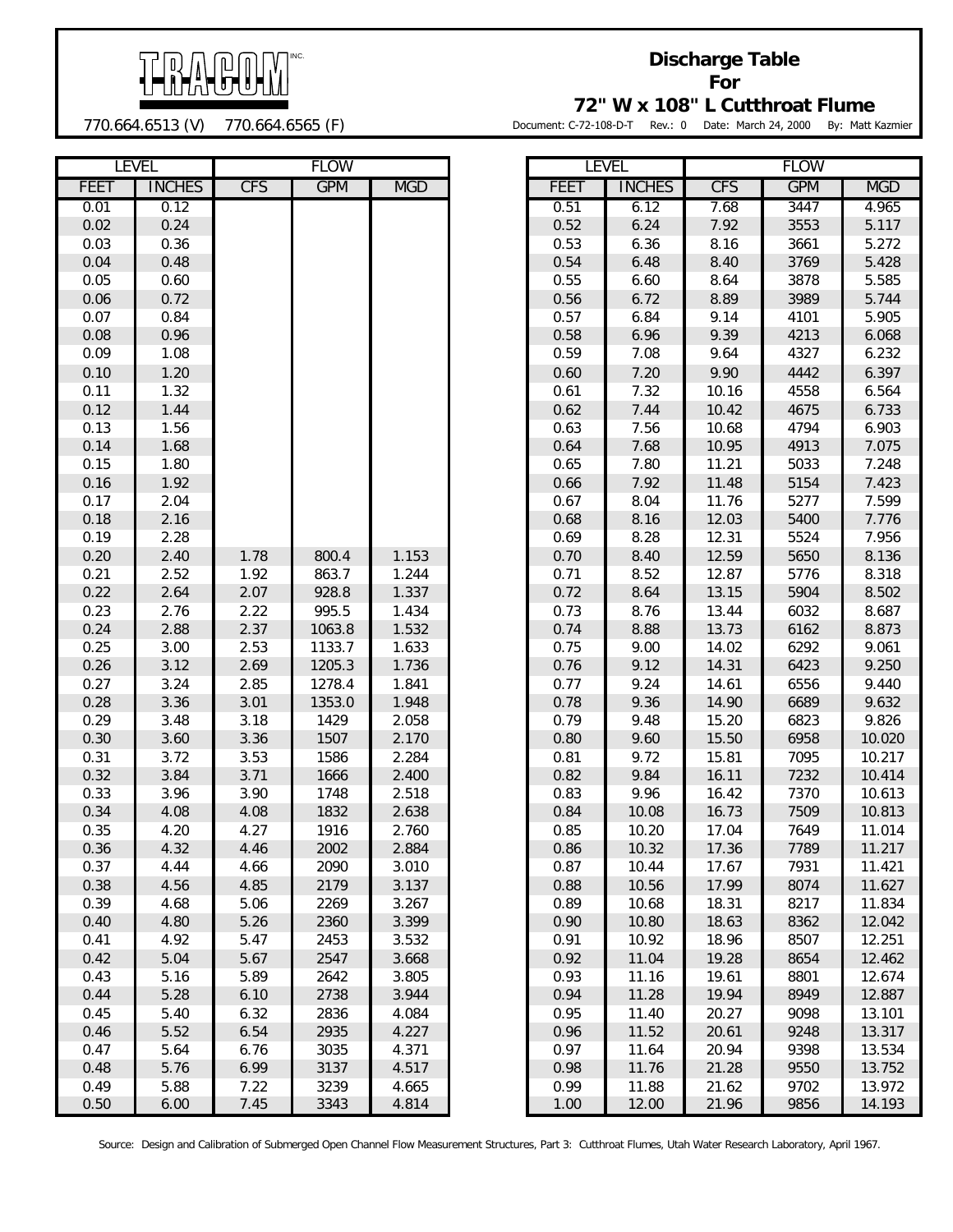

## **Discharge Table For**

770.664.6513 (V) 770.664.6565 (F)

**72" W x 108" L Cutthroat Flume**

Document: C-72-108-D-T Rev.: 0 Date: March 24, 2000 By: Matt Kazmier

|             | <b>LEVEL</b>  |            | <b>FLOW</b> |            |      | <b>LEVEL</b>  |            | <b>FLOW</b> |            |
|-------------|---------------|------------|-------------|------------|------|---------------|------------|-------------|------------|
| <b>FEET</b> | <b>INCHES</b> | <b>CFS</b> | <b>GPM</b>  | <b>MGD</b> | FEET | <b>INCHES</b> | <b>CFS</b> | <b>GPM</b>  | <b>MGD</b> |
| 0.01        | 0.12          |            |             |            | 0.51 | 6.12          | 7.68       | 3447        | 4.965      |
| 0.02        | 0.24          |            |             |            | 0.52 | 6.24          | 7.92       | 3553        | 5.117      |
| 0.03        | 0.36          |            |             |            | 0.53 | 6.36          | 8.16       | 3661        | 5.272      |
| 0.04        | 0.48          |            |             |            | 0.54 | 6.48          | 8.40       | 3769        | 5.428      |
| 0.05        | 0.60          |            |             |            | 0.55 | 6.60          | 8.64       | 3878        | 5.585      |
| 0.06        | 0.72          |            |             |            | 0.56 | 6.72          | 8.89       | 3989        | 5.744      |
| 0.07        | 0.84          |            |             |            | 0.57 | 6.84          | 9.14       | 4101        | 5.905      |
| 0.08        | 0.96          |            |             |            | 0.58 | 6.96          | 9.39       | 4213        | 6.068      |
| 0.09        | 1.08          |            |             |            | 0.59 | 7.08          | 9.64       | 4327        | 6.232      |
| 0.10        | 1.20          |            |             |            | 0.60 | 7.20          | 9.90       | 4442        | 6.397      |
| 0.11        | 1.32          |            |             |            | 0.61 | 7.32          | 10.16      | 4558        | 6.564      |
| 0.12        | 1.44          |            |             |            | 0.62 | 7.44          | 10.42      | 4675        | 6.733      |
| 0.13        | 1.56          |            |             |            | 0.63 | 7.56          | 10.68      | 4794        | 6.903      |
| 0.14        | 1.68          |            |             |            | 0.64 | 7.68          | 10.95      | 4913        | 7.075      |
| 0.15        | 1.80          |            |             |            | 0.65 | 7.80          | 11.21      | 5033        | 7.248      |
| 0.16        | 1.92          |            |             |            | 0.66 | 7.92          | 11.48      | 5154        | 7.423      |
| 0.17        | 2.04          |            |             |            | 0.67 | 8.04          | 11.76      | 5277        | 7.599      |
| 0.18        | 2.16          |            |             |            | 0.68 | 8.16          | 12.03      | 5400        | 7.776      |
| 0.19        | 2.28          |            |             |            | 0.69 | 8.28          | 12.31      | 5524        | 7.956      |
| 0.20        | 2.40          | 1.78       | 800.4       | 1.153      | 0.70 | 8.40          | 12.59      | 5650        | 8.136      |
| 0.21        | 2.52          | 1.92       | 863.7       | 1.244      | 0.71 | 8.52          | 12.87      | 5776        | 8.318      |
| 0.22        | 2.64          | 2.07       | 928.8       | 1.337      | 0.72 | 8.64          | 13.15      | 5904        | 8.502      |
| 0.23        | 2.76          | 2.22       | 995.5       | 1.434      | 0.73 | 8.76          | 13.44      | 6032        | 8.687      |
| 0.24        | 2.88          | 2.37       | 1063.8      | 1.532      | 0.74 | 8.88          | 13.73      | 6162        | 8.873      |
| 0.25        | 3.00          | 2.53       | 1133.7      | 1.633      | 0.75 | 9.00          | 14.02      | 6292        | 9.061      |
| 0.26        | 3.12          | 2.69       | 1205.3      | 1.736      | 0.76 | 9.12          | 14.31      | 6423        | 9.250      |
| 0.27        | 3.24          | 2.85       | 1278.4      | 1.841      | 0.77 | 9.24          | 14.61      | 6556        | 9.440      |
| 0.28        | 3.36          | 3.01       | 1353.0      | 1.948      | 0.78 | 9.36          | 14.90      | 6689        | 9.632      |
| 0.29        | 3.48          | 3.18       | 1429        | 2.058      | 0.79 | 9.48          | 15.20      | 6823        | 9.826      |
| 0.30        | 3.60          | 3.36       | 1507        | 2.170      | 0.80 | 9.60          | 15.50      | 6958        | 10.020     |
| 0.31        | 3.72          | 3.53       | 1586        | 2.284      | 0.81 | 9.72          | 15.81      | 7095        | 10.217     |
| 0.32        | 3.84          | 3.71       | 1666        | 2.400      | 0.82 | 9.84          | 16.11      | 7232        | 10.414     |
| 0.33        | 3.96          | 3.90       | 1748        | 2.518      | 0.83 | 9.96          | 16.42      | 7370        | 10.613     |
| 0.34        | 4.08          | 4.08       | 1832        | 2.638      | 0.84 | 10.08         | 16.73      | 7509        | 10.813     |
| 0.35        | 4.20          | 4.27       | 1916        | 2.760      | 0.85 | 10.20         | 17.04      | 7649        | 11.014     |
| 0.36        | 4.32          | 4.46       | 2002        | 2.884      | 0.86 | 10.32         | 17.36      | 7789        | 11.217     |
| 0.37        | 4.44          | 4.66       | 2090        | 3.010      | 0.87 | 10.44         | 17.67      | 7931        | 11.421     |
| 0.38        | 4.56          | 4.85       | 2179        | 3.137      | 0.88 | 10.56         | 17.99      | 8074        | 11.627     |
| 0.39        | 4.68          | 5.06       | 2269        | 3.267      | 0.89 | 10.68         | 18.31      | 8217        | 11.834     |
| 0.40        | 4.80          | 5.26       | 2360        | 3.399      | 0.90 | 10.80         | 18.63      | 8362        | 12.042     |
| 0.41        | 4.92          | 5.47       | 2453        | 3.532      | 0.91 | 10.92         | 18.96      | 8507        | 12.251     |
| 0.42        | 5.04          | 5.67       | 2547        | 3.668      | 0.92 | 11.04         | 19.28      | 8654        | 12.462     |
| 0.43        | 5.16          | 5.89       | 2642        | 3.805      | 0.93 | 11.16         | 19.61      | 8801        | 12.674     |
| 0.44        | 5.28          | 6.10       | 2738        | 3.944      | 0.94 | 11.28         | 19.94      | 8949        | 12.887     |
| 0.45        | 5.40          | 6.32       | 2836        | 4.084      | 0.95 | 11.40         | 20.27      | 9098        | 13.101     |
| 0.46        | 5.52          | 6.54       | 2935        | 4.227      | 0.96 | 11.52         | 20.61      | 9248        | 13.317     |
| 0.47        | 5.64          | 6.76       | 3035        | 4.371      | 0.97 | 11.64         | 20.94      | 9398        | 13.534     |
| 0.48        | 5.76          | 6.99       | 3137        | 4.517      | 0.98 | 11.76         | 21.28      | 9550        | 13.752     |
| 0.49        | 5.88          | 7.22       | 3239        | 4.665      | 0.99 | 11.88         | 21.62      | 9702        | 13.972     |
| 0.50        | 6.00          | 7.45       | 3343        | 4.814      | 1.00 | 12.00         | 21.96      | 9856        | 14.193     |

|             | <b>LEVEL</b>  | <b>FLOW</b> |            |            |  |  |  |  |
|-------------|---------------|-------------|------------|------------|--|--|--|--|
| <b>FEET</b> | <b>INCHES</b> | <b>CFS</b>  | <b>GPM</b> | <b>MGD</b> |  |  |  |  |
| 0.51        | 6.12          | 7.68        | 3447       | 4.965      |  |  |  |  |
| 0.52        | 6.24          | 7.92        | 3553       | 5.117      |  |  |  |  |
| 0.53        | 6.36          | 8.16        | 3661       | 5.272      |  |  |  |  |
| 0.54        | 6.48          | 8.40        | 3769       | 5.428      |  |  |  |  |
| 0.55        | 6.60          | 8.64        | 3878       | 5.585      |  |  |  |  |
| 0.56        | 6.72          | 8.89        | 3989       | 5.744      |  |  |  |  |
| 0.57        | 6.84          | 9.14        | 4101       | 5.905      |  |  |  |  |
| 0.58        | 6.96          | 9.39        | 4213       | 6.068      |  |  |  |  |
| 0.59        | 7.08          | 9.64        | 4327       | 6.232      |  |  |  |  |
| 0.60        | 7.20          | 9.90        | 4442       | 6.397      |  |  |  |  |
| 0.61        | 7.32          | 10.16       | 4558       | 6.564      |  |  |  |  |
| 0.62        | 7.44          | 10.42       | 4675       | 6.733      |  |  |  |  |
| 0.63        | 7.56          | 10.68       | 4794       | 6.903      |  |  |  |  |
| 0.64        | 7.68          | 10.95       | 4913       | 7.075      |  |  |  |  |
| 0.65        | 7.80          | 11.21       | 5033       | 7.248      |  |  |  |  |
| 0.66        | 7.92          | 11.48       | 5154       | 7.423      |  |  |  |  |
| 0.67        | 8.04          | 11.76       | 5277       | 7.599      |  |  |  |  |
| 0.68        | 8.16          | 12.03       | 5400       | 7.776      |  |  |  |  |
| 0.69        | 8.28          | 12.31       | 5524       | 7.956      |  |  |  |  |
| 0.70        | 8.40          | 12.59       | 5650       | 8.136      |  |  |  |  |
| 0.71        | 8.52          | 12.87       | 5776       | 8.318      |  |  |  |  |
| 0.72        | 8.64          | 13.15       | 5904       | 8.502      |  |  |  |  |
| 0.73        | 8.76          | 13.44       | 6032       | 8.687      |  |  |  |  |
| 0.74        | 8.88          | 13.73       | 6162       | 8.873      |  |  |  |  |
| 0.75        | 9.00          | 14.02       | 6292       | 9.061      |  |  |  |  |
| 0.76        | 9.12          | 14.31       | 6423       | 9.250      |  |  |  |  |
| 0.77        | 9.24          | 14.61       | 6556       | 9.440      |  |  |  |  |
| 0.78        | 9.36          | 14.90       | 6689       | 9.632      |  |  |  |  |
| 0.79        | 9.48          | 15.20       | 6823       | 9.826      |  |  |  |  |
| 0.80        | 9.60          | 15.50       | 6958       | 10.020     |  |  |  |  |
| 0.81        | 9.72          | 15.81       | 7095       | 10.217     |  |  |  |  |
| 0.82        | 9.84          | 16.11       | 7232       | 10.414     |  |  |  |  |
| 0.83        | 9.96          | 16.42       | 7370       | 10.613     |  |  |  |  |
| 0.84        | 10.08         | 16.73       | 7509       | 10.813     |  |  |  |  |
| 0.85        | 10.20         | 17.04       | 7649       | 11.014     |  |  |  |  |
| 0.86        | 10.32         | 17.36       | 7789       | 11.217     |  |  |  |  |
| 0.87        | 10.44         | 17.67       | 7931       | 11.421     |  |  |  |  |
| 0.88        | 10.56         | 17.99       | 8074       | 11.627     |  |  |  |  |
| 0.89        | 10.68         | 18.31       | 8217       | 11.834     |  |  |  |  |
| 0.90        | 10.80         | 18.63       | 8362       | 12.042     |  |  |  |  |
| 0.91        | 10.92         | 18.96       | 8507       | 12.251     |  |  |  |  |
| 0.92        | 11.04         | 19.28       | 8654       | 12.462     |  |  |  |  |
| 0.93        | 11.16         | 19.61       | 8801       | 12.674     |  |  |  |  |
| 0.94        | 11.28         | 19.94       | 8949       | 12.887     |  |  |  |  |
| 0.95        | 11.40         | 20.27       | 9098       | 13.101     |  |  |  |  |
| 0.96        | 11.52         | 20.61       | 9248       | 13.317     |  |  |  |  |
| 0.97        | 11.64         | 20.94       | 9398       | 13.534     |  |  |  |  |
| 0.98        | 11.76         | 21.28       | 9550       | 13.752     |  |  |  |  |
| 0.99        | 11.88         | 21.62       | 9702       | 13.972     |  |  |  |  |
| 1.00        | 12.00         | 21.96       | 9856       | 14.193     |  |  |  |  |

Source: Design and Calibration of Submerged Open Channel Flow Measurement Structures, Part 3: Cutthroat Flumes, Utah Water Research Laboratory, April 1967.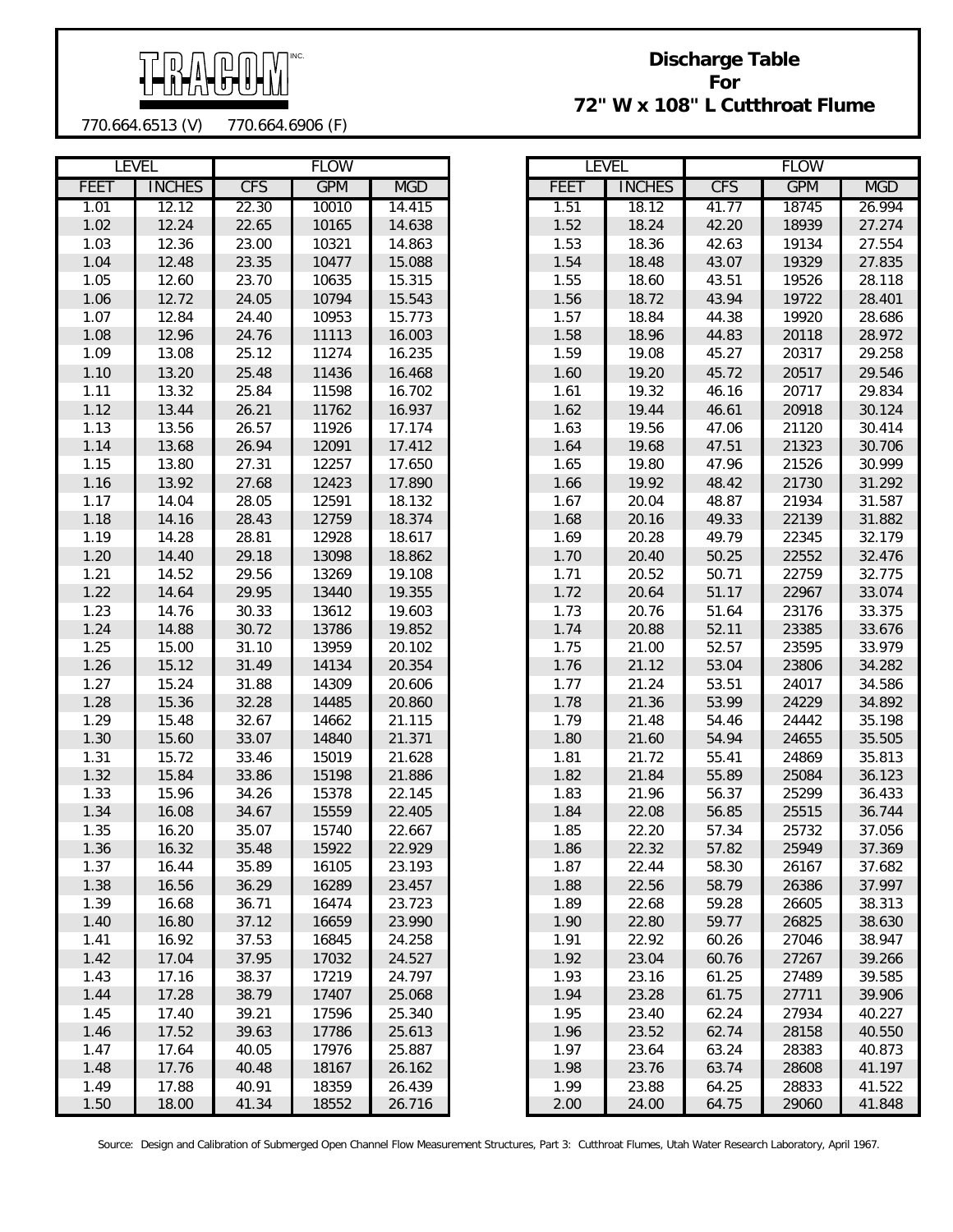

## **Discharge Table For 72" W x 108" L Cutthroat Flume**

770.664.6513 (V) 770.664.6906 (F)

|              | <b>LEVEL</b>   |                | <b>FLOW</b>    |                  |             | <b>LEVEL</b>   |                | <b>FLOW</b>    |                |  |
|--------------|----------------|----------------|----------------|------------------|-------------|----------------|----------------|----------------|----------------|--|
| <b>FEET</b>  | <b>INCHES</b>  | <b>CFS</b>     | <b>GPM</b>     | <b>MGD</b>       | <b>FEET</b> | <b>INCHES</b>  | <b>CFS</b>     | <b>GPM</b>     | <b>MGD</b>     |  |
| 1.01         | 12.12          | 22.30          | 10010          | 14.415           | 1.51        | 18.12          | 41.77          | 18745          | 26.99          |  |
| 1.02         | 12.24          | 22.65          | 10165          | 14.638           | 1.52        | 18.24          | 42.20          | 18939          | 27.27          |  |
| 1.03         | 12.36          | 23.00          | 10321          | 14.863           | 1.53        | 18.36          | 42.63          | 19134          | 27.55          |  |
| 1.04         | 12.48          | 23.35          | 10477          | 15.088           | 1.54        | 18.48          | 43.07          | 19329          | 27.83          |  |
| 1.05         | 12.60          | 23.70          | 10635          | 15.315           | 1.55        | 18.60          | 43.51          | 19526          | 28.11          |  |
| 1.06         | 12.72          | 24.05          | 10794          | 15.543           | 1.56        | 18.72          | 43.94          | 19722          | 28.40          |  |
| 1.07         | 12.84          | 24.40          | 10953          | 15.773           | 1.57        | 18.84          | 44.38          | 19920          | 28.68          |  |
| 1.08         | 12.96          | 24.76          | 11113          | 16.003           | 1.58        | 18.96          | 44.83          | 20118          | 28.97          |  |
| 1.09         | 13.08          | 25.12          | 11274          | 16.235           | 1.59        | 19.08          | 45.27          | 20317          | 29.25          |  |
| 1.10         | 13.20          | 25.48          | 11436          | 16.468           | 1.60        | 19.20          | 45.72          | 20517          | 29.54          |  |
| 1.11         | 13.32          | 25.84          | 11598          | 16.702           | 1.61        | 19.32          | 46.16          | 20717          | 29.83          |  |
| 1.12         | 13.44          | 26.21          | 11762          | 16.937           | 1.62        | 19.44          | 46.61          | 20918          | 30.12          |  |
| 1.13         | 13.56          | 26.57          | 11926          | 17.174           | 1.63        | 19.56          | 47.06          | 21120          | 30.41          |  |
| 1.14         | 13.68          | 26.94          | 12091          | 17.412           | 1.64        | 19.68          | 47.51          | 21323          | 30.70          |  |
| 1.15         | 13.80          | 27.31          | 12257          | 17.650           | 1.65        | 19.80          | 47.96          | 21526          | 30.99          |  |
| 1.16         | 13.92          | 27.68          | 12423          | 17.890           | 1.66        | 19.92          | 48.42          | 21730          | 31.29          |  |
| 1.17         | 14.04          | 28.05          | 12591          | 18.132           | 1.67        | 20.04          | 48.87          | 21934          | 31.58          |  |
| 1.18         | 14.16          | 28.43          | 12759          | 18.374           | 1.68        | 20.16          | 49.33          | 22139          | 31.88          |  |
| 1.19         | 14.28          | 28.81          | 12928          | 18.617           | 1.69        | 20.28          | 49.79          | 22345          | 32.17'         |  |
| 1.20         | 14.40          | 29.18          | 13098          | 18.862           | 1.70        | 20.40          | 50.25          | 22552          | 32.47          |  |
| 1.21         | 14.52          | 29.56          | 13269          | 19.108           | 1.71        | 20.52          | 50.71          | 22759          | 32.77          |  |
| 1.22         | 14.64          | 29.95          | 13440          | 19.355           | 1.72        | 20.64          | 51.17          | 22967          |                |  |
|              |                |                |                |                  | 1.73        |                |                |                | 33.07          |  |
| 1.23<br>1.24 | 14.76<br>14.88 | 30.33<br>30.72 | 13612<br>13786 | 19.603<br>19.852 | 1.74        | 20.76<br>20.88 | 51.64<br>52.11 | 23176<br>23385 | 33.37<br>33.67 |  |
|              |                |                |                |                  | 1.75        |                |                |                |                |  |
| 1.25         | 15.00          | 31.10          | 13959          | 20.102           |             | 21.00          | 52.57          | 23595          | 33.97          |  |
| 1.26         | 15.12          | 31.49          | 14134          | 20.354           | 1.76        | 21.12          | 53.04          | 23806          | 34.28          |  |
| 1.27         | 15.24          | 31.88          | 14309          | 20.606           | 1.77        | 21.24          | 53.51          | 24017          | 34.58          |  |
| 1.28         | 15.36          | 32.28          | 14485          | 20.860           | 1.78        | 21.36          | 53.99          | 24229          | 34.89          |  |
| 1.29         | 15.48          | 32.67          | 14662          | 21.115           | 1.79        | 21.48          | 54.46          | 24442          | 35.19          |  |
| 1.30         | 15.60          | 33.07          | 14840          | 21.371           | 1.80        | 21.60          | 54.94          | 24655          | 35.50          |  |
| 1.31         | 15.72          | 33.46          | 15019          | 21.628           | 1.81        | 21.72          | 55.41          | 24869          | 35.81          |  |
| 1.32         | 15.84          | 33.86          | 15198          | 21.886           | 1.82        | 21.84          | 55.89          | 25084          | 36.12          |  |
| 1.33         | 15.96          | 34.26          | 15378          | 22.145           | 1.83        | 21.96          | 56.37          | 25299          | 36.43          |  |
| 1.34         | 16.08          | 34.67          | 15559          | 22.405           | 1.84        | 22.08          | 56.85          | 25515          | 36.74          |  |
| 1.35         | 16.20          | 35.07          | 15740          | 22.667           | 1.85        | 22.20          | 57.34          | 25732          | 37.05          |  |
| 1.36         | 16.32          | 35.48          | 15922          | 22.929           | 1.86        | 22.32          | 57.82          | 25949          | 37.36          |  |
| 1.37         | 16.44          | 35.89          | 16105          | 23.193           | 1.87        | 22.44          | 58.30          | 26167          | 37.68          |  |
| 1.38         | 16.56          | 36.29          | 16289          | 23.457           | 1.88        | 22.56          | 58.79          | 26386          | 37.99          |  |
| 1.39         | 16.68          | 36.71          | 16474          | 23.723           | 1.89        | 22.68          | 59.28          | 26605          | 38.31          |  |
| 1.40         | 16.80          | 37.12          | 16659          | 23.990           | 1.90        | 22.80          | 59.77          | 26825          | 38.63          |  |
| 1.41         | 16.92          | 37.53          | 16845          | 24.258           | 1.91        | 22.92          | 60.26          | 27046          | 38.94          |  |
| 1.42         | 17.04          | 37.95          | 17032          | 24.527           | 1.92        | 23.04          | 60.76          | 27267          | 39.26          |  |
| 1.43         | 17.16          | 38.37          | 17219          | 24.797           | 1.93        | 23.16          | 61.25          | 27489          | 39.58          |  |
| 1.44         | 17.28          | 38.79          | 17407          | 25.068           | 1.94        | 23.28          | 61.75          | 27711          | 39.90          |  |
| 1.45         | 17.40          | 39.21          | 17596          | 25.340           | 1.95        | 23.40          | 62.24          | 27934          | 40.22          |  |
| 1.46         | 17.52          | 39.63          | 17786          | 25.613           | 1.96        | 23.52          | 62.74          | 28158          | 40.55          |  |
| 1.47         | 17.64          | 40.05          | 17976          | 25.887           | 1.97        | 23.64          | 63.24          | 28383          | 40.87          |  |
| 1.48         | 17.76          | 40.48          | 18167          | 26.162           | 1.98        | 23.76          | 63.74          | 28608          | 41.19          |  |
| 1.49         | 17.88          | 40.91          | 18359          | 26.439           | 1.99        | 23.88          | 64.25          | 28833          | 41.52          |  |
| 1.50         | 18.00          | 41.34          | 18552          | 26.716           | 2.00        | 24.00          | 64.75          | 29060          | 41.84          |  |

| LEVEL |               |            | <b>FLOW</b> |            |      | LEVEL         |            | <b>FLOW</b> |            |
|-------|---------------|------------|-------------|------------|------|---------------|------------|-------------|------------|
| EET   | <b>INCHES</b> | <b>CFS</b> | <b>GPM</b>  | <b>MGD</b> | FEET | <b>INCHES</b> | <b>CFS</b> | <b>GPM</b>  | <b>MGD</b> |
| 1.01  | 12.12         | 22.30      | 10010       | 14.415     | 1.51 | 18.12         | 41.77      | 18745       | 26.994     |
| 1.02  | 12.24         | 22.65      | 10165       | 14.638     | 1.52 | 18.24         | 42.20      | 18939       | 27.274     |
| 1.03  | 12.36         | 23.00      | 10321       | 14.863     | 1.53 | 18.36         | 42.63      | 19134       | 27.554     |
| 1.04  | 12.48         | 23.35      | 10477       | 15.088     | 1.54 | 18.48         | 43.07      | 19329       | 27.835     |
| 1.05  | 12.60         | 23.70      | 10635       | 15.315     | 1.55 | 18.60         | 43.51      | 19526       | 28.118     |
| 1.06  | 12.72         | 24.05      | 10794       | 15.543     | 1.56 | 18.72         | 43.94      | 19722       | 28.401     |
| 1.07  | 12.84         | 24.40      | 10953       | 15.773     | 1.57 | 18.84         | 44.38      | 19920       | 28.686     |
| 1.08  | 12.96         | 24.76      | 11113       | 16.003     | 1.58 | 18.96         | 44.83      | 20118       | 28.972     |
| 1.09  | 13.08         | 25.12      | 11274       | 16.235     | 1.59 | 19.08         | 45.27      | 20317       | 29.258     |
| 1.10  | 13.20         | 25.48      | 11436       | 16.468     | 1.60 | 19.20         | 45.72      | 20517       | 29.546     |
| 1.11  | 13.32         | 25.84      | 11598       | 16.702     | 1.61 | 19.32         | 46.16      | 20717       | 29.834     |
| 1.12  | 13.44         | 26.21      | 11762       | 16.937     | 1.62 | 19.44         | 46.61      | 20918       | 30.124     |
| 1.13  | 13.56         | 26.57      | 11926       | 17.174     | 1.63 | 19.56         | 47.06      | 21120       | 30.414     |
| 1.14  | 13.68         | 26.94      | 12091       | 17.412     | 1.64 | 19.68         | 47.51      | 21323       | 30.706     |
| 1.15  | 13.80         | 27.31      | 12257       | 17.650     | 1.65 | 19.80         | 47.96      | 21526       | 30.999     |
| 1.16  | 13.92         | 27.68      | 12423       | 17.890     | 1.66 | 19.92         | 48.42      | 21730       | 31.292     |
| 1.17  | 14.04         | 28.05      | 12591       | 18.132     | 1.67 | 20.04         | 48.87      | 21934       | 31.587     |
| 1.18  | 14.16         | 28.43      | 12759       | 18.374     | 1.68 | 20.16         | 49.33      | 22139       | 31.882     |
| 1.19  | 14.28         | 28.81      | 12928       | 18.617     | 1.69 | 20.28         | 49.79      | 22345       | 32.179     |
| 1.20  | 14.40         | 29.18      | 13098       | 18.862     | 1.70 | 20.40         | 50.25      | 22552       | 32.476     |
| 1.21  | 14.52         | 29.56      | 13269       | 19.108     | 1.71 | 20.52         | 50.71      | 22759       | 32.775     |
| 1.22  | 14.64         | 29.95      | 13440       | 19.355     | 1.72 | 20.64         | 51.17      | 22967       | 33.074     |
| 1.23  | 14.76         | 30.33      | 13612       | 19.603     | 1.73 | 20.76         | 51.64      | 23176       | 33.375     |
| 1.24  | 14.88         | 30.72      | 13786       | 19.852     | 1.74 | 20.88         | 52.11      | 23385       | 33.676     |
| 1.25  | 15.00         | 31.10      | 13959       | 20.102     | 1.75 | 21.00         | 52.57      | 23595       | 33.979     |
| 1.26  | 15.12         | 31.49      | 14134       | 20.354     | 1.76 | 21.12         | 53.04      | 23806       | 34.282     |
| 1.27  | 15.24         | 31.88      | 14309       | 20.606     | 1.77 | 21.24         | 53.51      | 24017       | 34.586     |
| 1.28  | 15.36         | 32.28      | 14485       | 20.860     | 1.78 | 21.36         | 53.99      | 24229       | 34.892     |
| 1.29  | 15.48         | 32.67      | 14662       | 21.115     | 1.79 | 21.48         | 54.46      | 24442       | 35.198     |
| 1.30  | 15.60         | 33.07      | 14840       | 21.371     | 1.80 | 21.60         | 54.94      | 24655       | 35.505     |
| 1.31  | 15.72         | 33.46      | 15019       | 21.628     | 1.81 | 21.72         | 55.41      | 24869       | 35.813     |
| 1.32  | 15.84         | 33.86      | 15198       | 21.886     | 1.82 | 21.84         | 55.89      | 25084       | 36.123     |
| 1.33  | 15.96         | 34.26      | 15378       | 22.145     | 1.83 | 21.96         | 56.37      | 25299       | 36.433     |
| 1.34  | 16.08         | 34.67      | 15559       | 22.405     | 1.84 | 22.08         | 56.85      | 25515       | 36.744     |
| 1.35  | 16.20         | 35.07      | 15740       | 22.667     | 1.85 | 22.20         | 57.34      | 25732       | 37.056     |
| 1.36  | 16.32         | 35.48      | 15922       | 22.929     | 1.86 | 22.32         | 57.82      | 25949       | 37.369     |
| 1.37  | 16.44         | 35.89      | 16105       | 23.193     | 1.87 | 22.44         | 58.30      | 26167       | 37.682     |
| 1.38  | 16.56         | 36.29      | 16289       | 23.457     | 1.88 | 22.56         | 58.79      | 26386       | 37.997     |
| 1.39  | 16.68         | 36.71      | 16474       | 23.723     | 1.89 | 22.68         | 59.28      | 26605       | 38.313     |
| 1.40  | 16.80         | 37.12      | 16659       | 23.990     | 1.90 | 22.80         | 59.77      | 26825       | 38.630     |
| 1.41  | 16.92         | 37.53      | 16845       | 24.258     | 1.91 | 22.92         | 60.26      | 27046       | 38.947     |
| 1.42  | 17.04         | 37.95      | 17032       | 24.527     | 1.92 | 23.04         | 60.76      | 27267       | 39.266     |
| 1.43  | 17.16         | 38.37      | 17219       | 24.797     | 1.93 | 23.16         | 61.25      | 27489       | 39.585     |
| 1.44  | 17.28         | 38.79      | 17407       | 25.068     | 1.94 | 23.28         | 61.75      | 27711       | 39.906     |
| 1.45  | 17.40         | 39.21      | 17596       | 25.340     | 1.95 | 23.40         | 62.24      | 27934       | 40.227     |
| 1.46  | 17.52         | 39.63      | 17786       | 25.613     | 1.96 | 23.52         | 62.74      | 28158       | 40.550     |
| 1.47  | 17.64         | 40.05      | 17976       | 25.887     | 1.97 | 23.64         | 63.24      | 28383       | 40.873     |
| 1.48  | 17.76         | 40.48      | 18167       | 26.162     | 1.98 | 23.76         | 63.74      | 28608       | 41.197     |
| 1.49  | 17.88         | 40.91      | 18359       | 26.439     | 1.99 | 23.88         | 64.25      | 28833       | 41.522     |
| 1.50  | 18.00         | 41.34      | 18552       | 26.716     | 2.00 | 24.00         | 64.75      | 29060       | 41.848     |

Source: Design and Calibration of Submerged Open Channel Flow Measurement Structures, Part 3: Cutthroat Flumes, Utah Water Research Laboratory, April 1967.